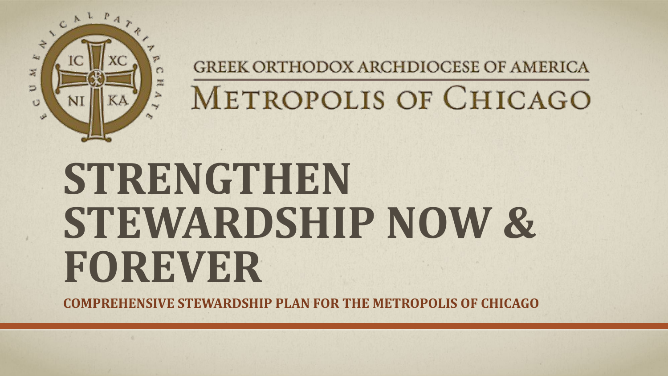

GREEK ORTHODOX ARCHDIOCESE OF AMERICA

### METROPOLIS OF CHICAGO

# **STRENGTHEN STEWARDSHIP NOW & FOREVER**

**COMPREHENSIVE STEWARDSHIP PLAN FOR THE METROPOLIS OF CHICAGO**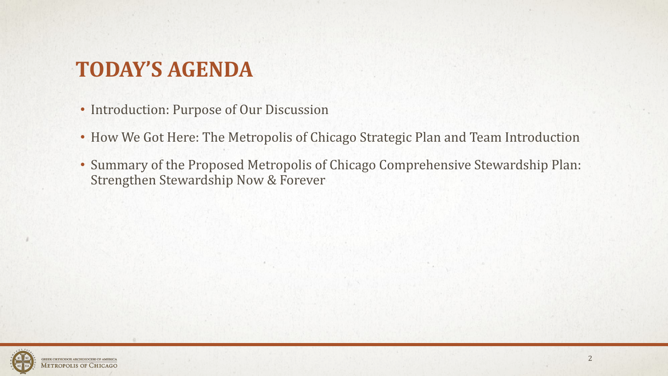### **TODAY'S AGENDA**

- Introduction: Purpose of Our Discussion
- How We Got Here: The Metropolis of Chicago Strategic Plan and Team Introduction
- Summary of the Proposed Metropolis of Chicago Comprehensive Stewardship Plan: Strengthen Stewardship Now & Forever

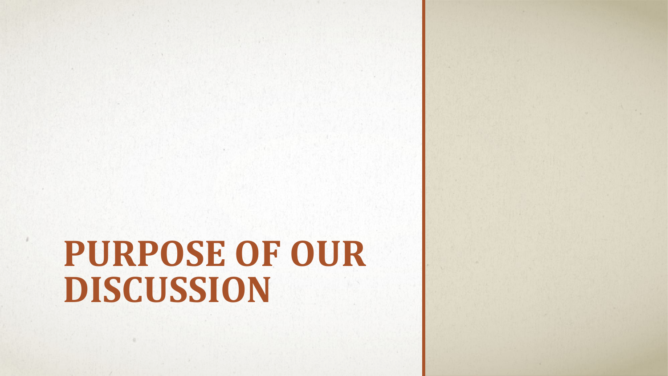## **PURPOSE OF OUR DISCUSSION**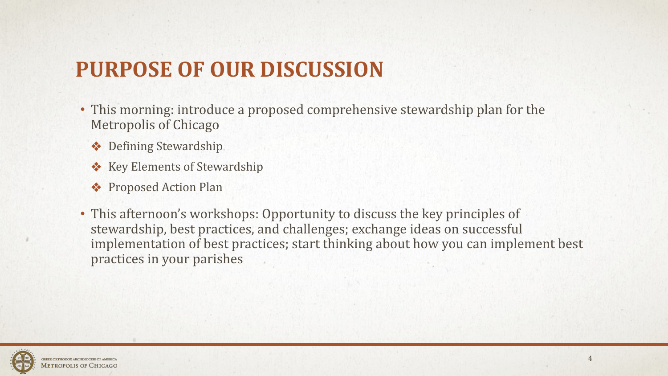### **PURPOSE OF OUR DISCUSSION**

- This morning: introduce a proposed comprehensive stewardship plan for the Metropolis of Chicago
	- **❖** Defining Stewardship.
	- ❖ Key Elements of Stewardship
	- ❖ Proposed Action Plan
- This afternoon's workshops: Opportunity to discuss the key principles of stewardship, best practices, and challenges; exchange ideas on successful implementation of best practices; start thinking about how you can implement best practices in your parishes

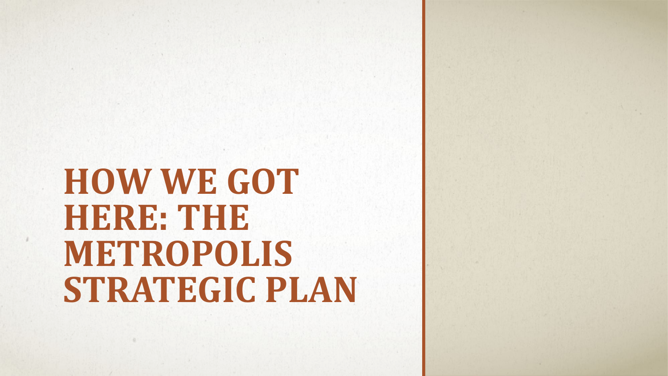**HOW WE GOT HERE: THE METROPOLIS STRATEGIC PLAN**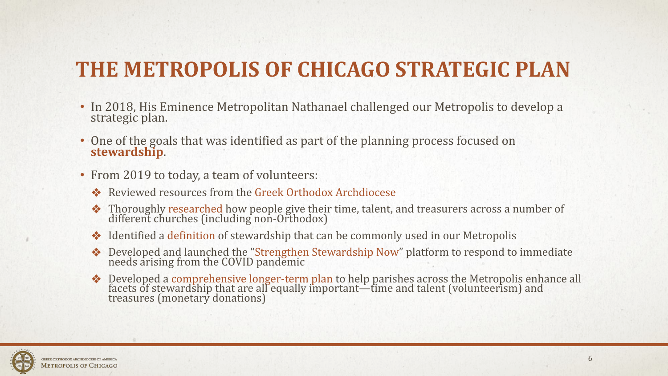#### **THE METROPOLIS OF CHICAGO STRATEGIC PLAN**

- In 2018, His Eminence Metropolitan Nathanael challenged our Metropolis to develop a strategic plan.
- One of the goals that was identified as part of the planning process focused on **stewardship**.
- From 2019 to today, a team of volunteers:
	- Reviewed resources from the Greek Orthodox Archdiocese
	- ❖ Thoroughly researched how people give their time, talent, and treasurers across a number of different churches (including non-Orthodox)
	- ❖ Identified a definition of stewardship that can be commonly used in our Metropolis
	- ❖ Developed and launched the "Strengthen Stewardship Now" platform to respond to immediate needs arising from the COVID pandemic
	- ❖ Developed a comprehensive longer-term plan to help parishes across the Metropolis enhance all facets of stewardship that are all equally important—time and talent (volunteerism) and treasures (monetary donations)

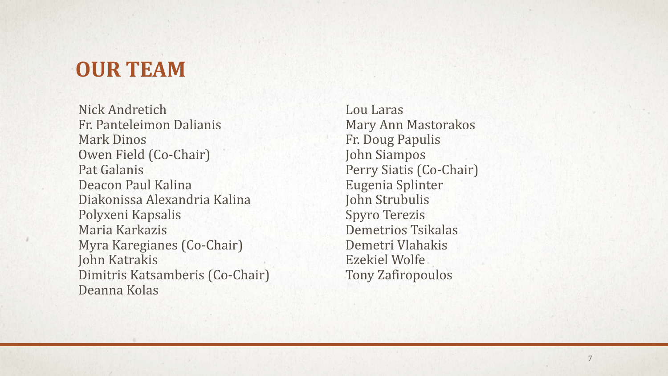#### **OUR TEAM**

Nick Andretich Fr. Panteleimon Dalianis Mark Dinos Owen Field (Co-Chair) Pat Galanis Deacon Paul Kalina Diakonissa Alexandria Kalina Polyxeni Kapsalis Maria Karkazis Myra Karegianes (Co-Chair) John Katrakis Dimitris Katsamberis (Co-Chair) Deanna Kolas

Lou Laras Mary Ann Mastorakos Fr. Doug Papulis John Siampos Perry Siatis (Co-Chair) Eugenia Splinter John Strubulis Spyro Terezis Demetrios Tsikalas Demetri Vlahakis Ezekiel Wolfe Tony Zafiropoulos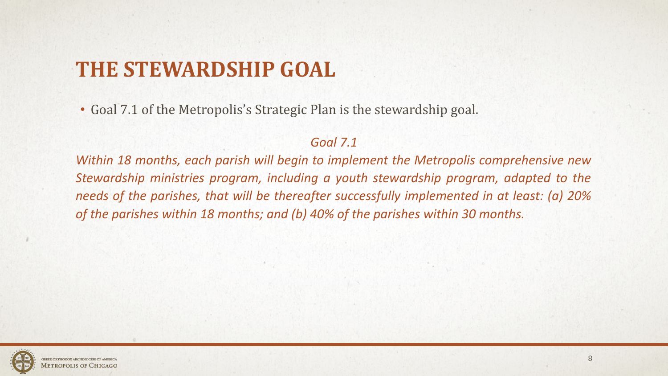#### **THE STEWARDSHIP GOAL**

• Goal 7.1 of the Metropolis's Strategic Plan is the stewardship goal.

#### *Goal 7.1*

*Within 18 months, each parish will begin to implement the Metropolis comprehensive new Stewardship ministries program, including a youth stewardship program, adapted to the needs of the parishes, that will be thereafter successfully implemented in at least: (a) 20% of the parishes within 18 months; and (b) 40% of the parishes within 30 months.*

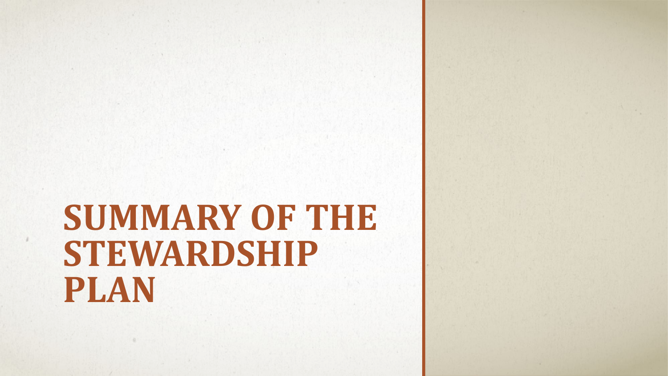## **SUMMARY OF THE STEWARDSHIP PLAN**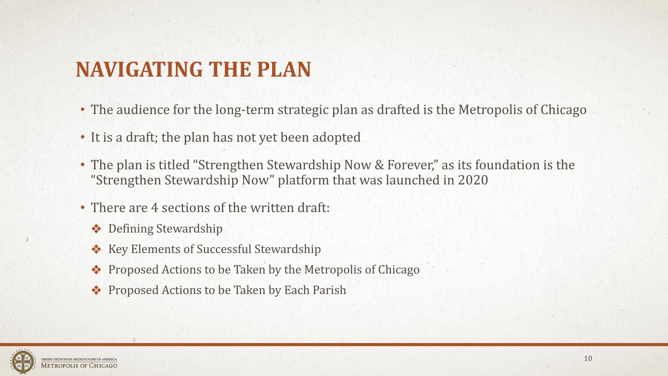### **NAVIGATING THE PLAN**

- The audience for the long-term strategic plan as drafted is the Metropolis of Chicago
- It is a draft; the plan has not yet been adopted
- The plan is titled "Strengthen Stewardship Now & Forever," as its foundation is the "Strengthen Stewardship Now" platform that was launched in 2020
- There are 4 sections of the written draft:
	- **❖** Defining Stewardship
	- ❖ Key Elements of Successful Stewardship
	- ❖ Proposed Actions to be Taken by the Metropolis of Chicago
	- ❖ Proposed Actions to be Taken by Each Parish

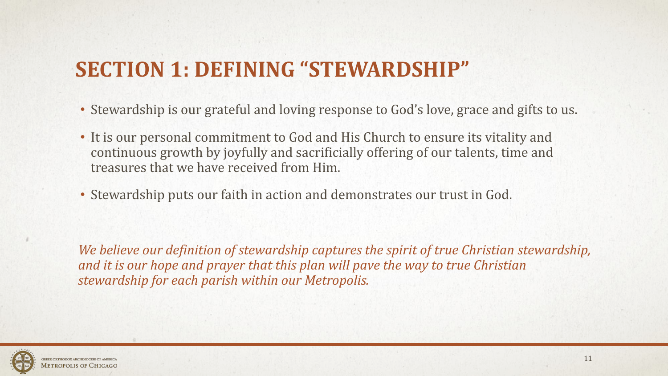#### **SECTION 1: DEFINING "STEWARDSHIP"**

- Stewardship is our grateful and loving response to God's love, grace and gifts to us.
- It is our personal commitment to God and His Church to ensure its vitality and continuous growth by joyfully and sacrificially offering of our talents, time and treasures that we have received from Him.
- Stewardship puts our faith in action and demonstrates our trust in God.

*We believe our definition of stewardship captures the spirit of true Christian stewardship, and it is our hope and prayer that this plan will pave the way to true Christian stewardship for each parish within our Metropolis.*

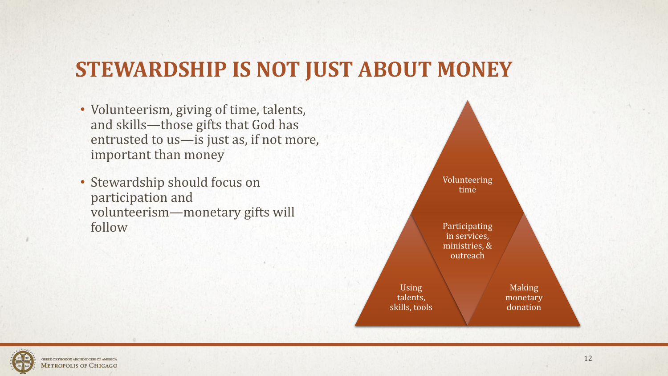#### **STEWARDSHIP IS NOT JUST ABOUT MONEY**

- Volunteerism, giving of time, talents, and skills—those gifts that God has entrusted to us—is just as, if not more, important than money
- Stewardship should focus on participation and volunteerism—monetary gifts will follow



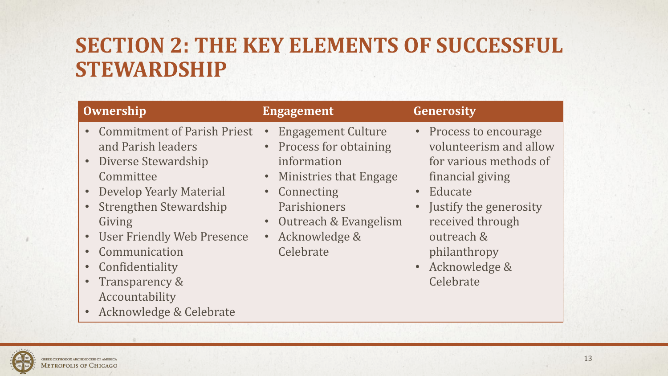#### **SECTION 2: THE KEY ELEMENTS OF SUCCESSFUL STEWARDSHIP**

| <b>Ownership</b>                                                                                                                                                                                                                                                                                                                             | <b>Engagement</b>                                                                                                                                                                                       | <b>Generosity</b>                                                                                                                                                                                                       |  |
|----------------------------------------------------------------------------------------------------------------------------------------------------------------------------------------------------------------------------------------------------------------------------------------------------------------------------------------------|---------------------------------------------------------------------------------------------------------------------------------------------------------------------------------------------------------|-------------------------------------------------------------------------------------------------------------------------------------------------------------------------------------------------------------------------|--|
| • Commitment of Parish Priest<br>and Parish leaders<br>• Diverse Stewardship<br>Committee<br>Develop Yearly Material<br>$\bullet$<br>Strengthen Stewardship<br>$\bullet$<br>Giving<br>User Friendly Web Presence<br>$\bullet$<br>Communication<br>$\bullet$<br>Confidentiality<br>$\bullet$<br>Transparency &<br>$\bullet$<br>Accountability | <b>Engagement Culture</b><br>$\bullet$<br>• Process for obtaining<br>information<br>• Ministries that Engage<br>• Connecting<br>Parishioners<br>• Outreach & Evangelism<br>• Acknowledge &<br>Celebrate | • Process to encourage<br>volunteerism and allow<br>for various methods of<br>financial giving<br>Educate<br>• Justify the generosity<br>received through<br>outreach &<br>philanthropy<br>• Acknowledge &<br>Celebrate |  |

• Acknowledge & Celebrate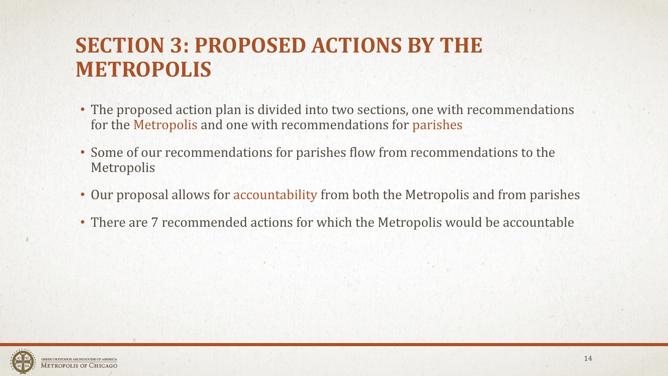#### **SECTION 3: PROPOSED ACTIONS BY THE METROPOLIS**

- The proposed action plan is divided into two sections, one with recommendations for the Metropolis and one with recommendations for parishes
- Some of our recommendations for parishes flow from recommendations to the Metropolis
- Our proposal allows for accountability from both the Metropolis and from parishes
- There are 7 recommended actions for which the Metropolis would be accountable

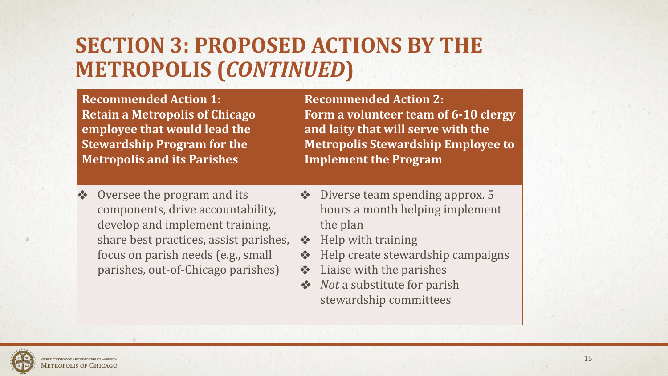**Recommended Action 1: Retain a Metropolis of Chicago employee that would lead the Stewardship Program for the Metropolis and its Parishes** 

**Recommended Action 2: Form a volunteer team of 6-10 clergy and laity that will serve with the Metropolis Stewardship Employee to Implement the Program**

- **❖** Oversee the program and its components, drive accountability, develop and implement training, share best practices, assist parishes, focus on parish needs (e.g., small parishes, out-of-Chicago parishes)
- ❖ Diverse team spending approx. 5 hours a month helping implement the plan
- ❖ Help with training
- ❖ Help create stewardship campaigns
- ❖ Liaise with the parishes
- ❖ *Not* a substitute for parish stewardship committees

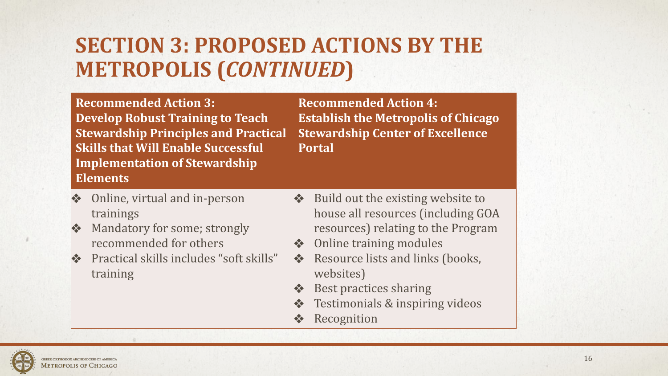**Recommended Action 3: Develop Robust Training to Teach Stewardship Principles and Practical Skills that Will Enable Successful Implementation of Stewardship Elements**

**Recommended Action 4: Establish the Metropolis of Chicago Stewardship Center of Excellence Portal**

- **❖** Online, virtual and in-person trainings
- **❖** Mandatory for some; strongly recommended for others
- ❖ Practical skills includes "soft skills" training
- ❖ Build out the existing website to house all resources (including GOA resources) relating to the Program
- ❖ Online training modules
- Resource lists and links (books, websites)
- ❖ Best practices sharing
- Testimonials & inspiring videos
- **Recognition**

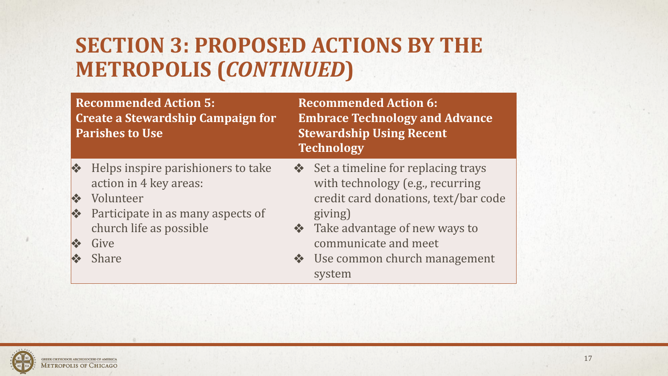| <b>Recommended Action 5:</b><br><b>Create a Stewardship Campaign for</b><br><b>Parishes to Use</b> |                                                                                                                | <b>Recommended Action 6:</b><br><b>Embrace Technology and Advance</b><br><b>Stewardship Using Recent</b><br><b>Technology</b> |  |
|----------------------------------------------------------------------------------------------------|----------------------------------------------------------------------------------------------------------------|-------------------------------------------------------------------------------------------------------------------------------|--|
| է⊱<br>է⊱<br><b>REA</b>                                                                             | Helps inspire parishioners to take<br>action in 4 key areas:<br>Volunteer<br>Participate in as many aspects of | ❖ Set a timeline for replacing trays<br>with technology (e.g., recurring<br>credit card donations, text/bar code<br>giving)   |  |
|                                                                                                    | church life as possible<br>Give<br><b>Share</b>                                                                | ❖ Take advantage of new ways to<br>communicate and meet<br>❖ Use common church management<br>system                           |  |

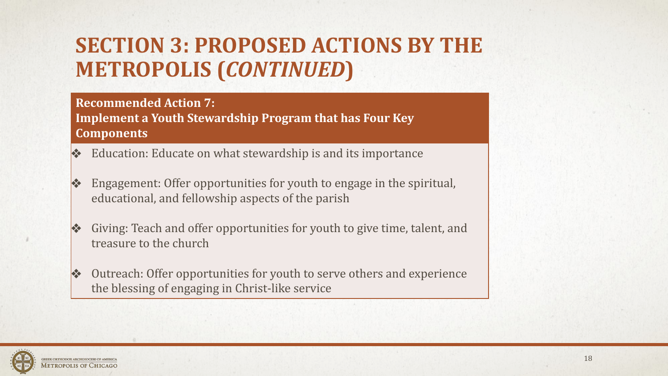#### **Recommended Action 7:**

**Implement a Youth Stewardship Program that has Four Key Components**

- Education: Educate on what stewardship is and its importance
- Engagement: Offer opportunities for youth to engage in the spiritual, educational, and fellowship aspects of the parish
- ❖ Giving: Teach and offer opportunities for youth to give time, talent, and treasure to the church
- ❖ Outreach: Offer opportunities for youth to serve others and experience the blessing of engaging in Christ-like service

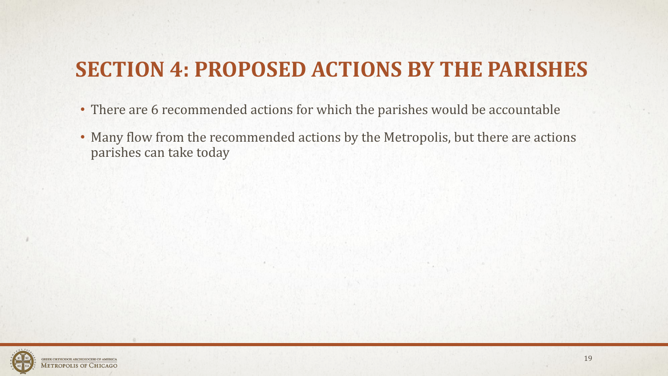#### **SECTION 4: PROPOSED ACTIONS BY THE PARISHES**

- There are 6 recommended actions for which the parishes would be accountable
- Many flow from the recommended actions by the Metropolis, but there are actions parishes can take today

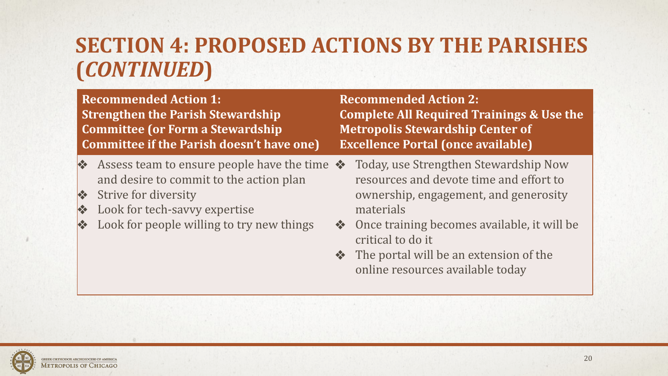#### **SECTION 4: PROPOSED ACTIONS BY THE PARISHES (***CONTINUED***)**

**Recommended Action 1: Strengthen the Parish Stewardship Committee (or Form a Stewardship Committee if the Parish doesn't have one)**

- ❖ Assess team to ensure people have the time ❖ and desire to commit to the action plan
- **❖** Strive for diversity
- ❖ Look for tech-savvy expertise
- **❖** Look for people willing to try new things

**Recommended Action 2: Complete All Required Trainings & Use the Metropolis Stewardship Center of Excellence Portal (once available)**

- ❖ Today, use Strengthen Stewardship Now resources and devote time and effort to ownership, engagement, and generosity materials
- ❖ Once training becomes available, it will be critical to do it
- The portal will be an extension of the online resources available today

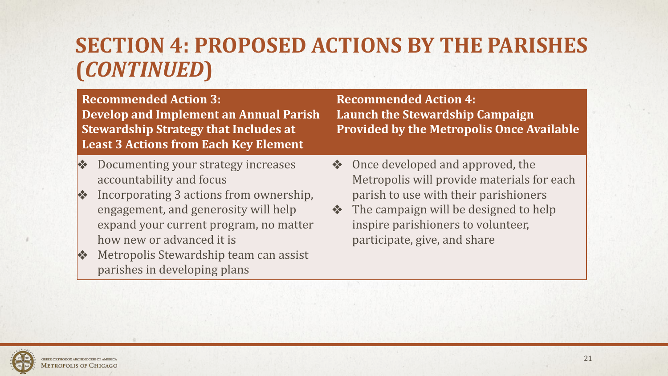#### **SECTION 4: PROPOSED ACTIONS BY THE PARISHES (***CONTINUED***)**

**Recommended Action 3: Develop and Implement an Annual Parish Stewardship Strategy that Includes at Least 3 Actions from Each Key Element**

- ❖ Documenting your strategy increases accountability and focus
- ❖ Incorporating 3 actions from ownership, engagement, and generosity will help expand your current program, no matter how new or advanced it is
- **❖** Metropolis Stewardship team can assist parishes in developing plans

**Recommended Action 4: Launch the Stewardship Campaign Provided by the Metropolis Once Available**

- ❖ Once developed and approved, the Metropolis will provide materials for each parish to use with their parishioners
- ❖ The campaign will be designed to help inspire parishioners to volunteer, participate, give, and share

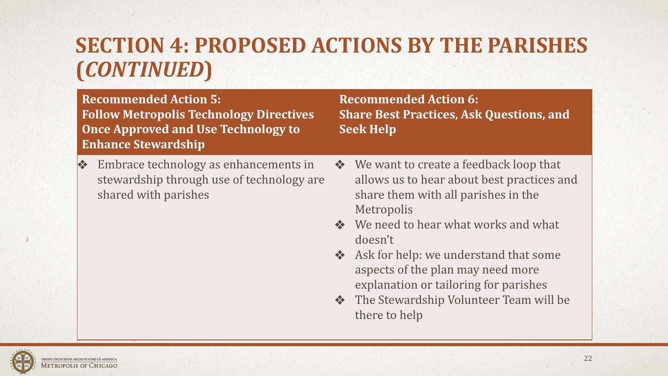#### **SECTION 4: PROPOSED ACTIONS BY THE PARISHES (***CONTINUED***)**

**Recommended Action 5: Follow Metropolis Technology Directives Once Approved and Use Technology to Enhance Stewardship** 

❖ Embrace technology as enhancements in stewardship through use of technology are shared with parishes

**Recommended Action 6: Share Best Practices, Ask Questions, and Seek Help**

- ❖ We want to create a feedback loop that allows us to hear about best practices and share them with all parishes in the Metropolis
- ❖ We need to hear what works and what doesn't
- ❖ Ask for help: we understand that some aspects of the plan may need more explanation or tailoring for parishes
- ❖ The Stewardship Volunteer Team will be there to help

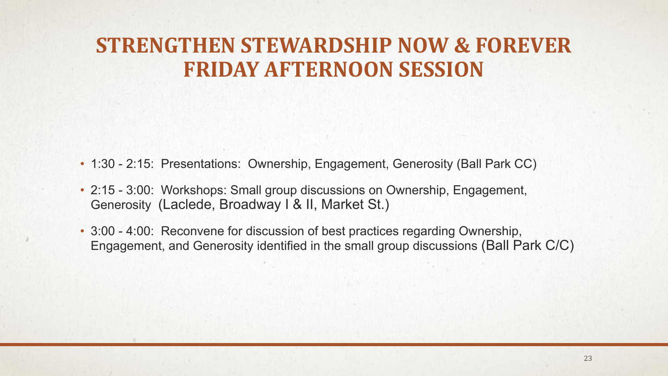#### **STRENGTHEN STEWARDSHIP NOW & FOREVER FRIDAY AFTERNOON SESSION**

- 1:30 2:15: Presentations: Ownership, Engagement, Generosity (Ball Park CC)
- 2:15 3:00: Workshops: Small group discussions on Ownership, Engagement, Generosity (Laclede, Broadway I & II, Market St.)
- 3:00 4:00: Reconvene for discussion of best practices regarding Ownership, Engagement, and Generosity identified in the small group discussions (Ball Park C/C)